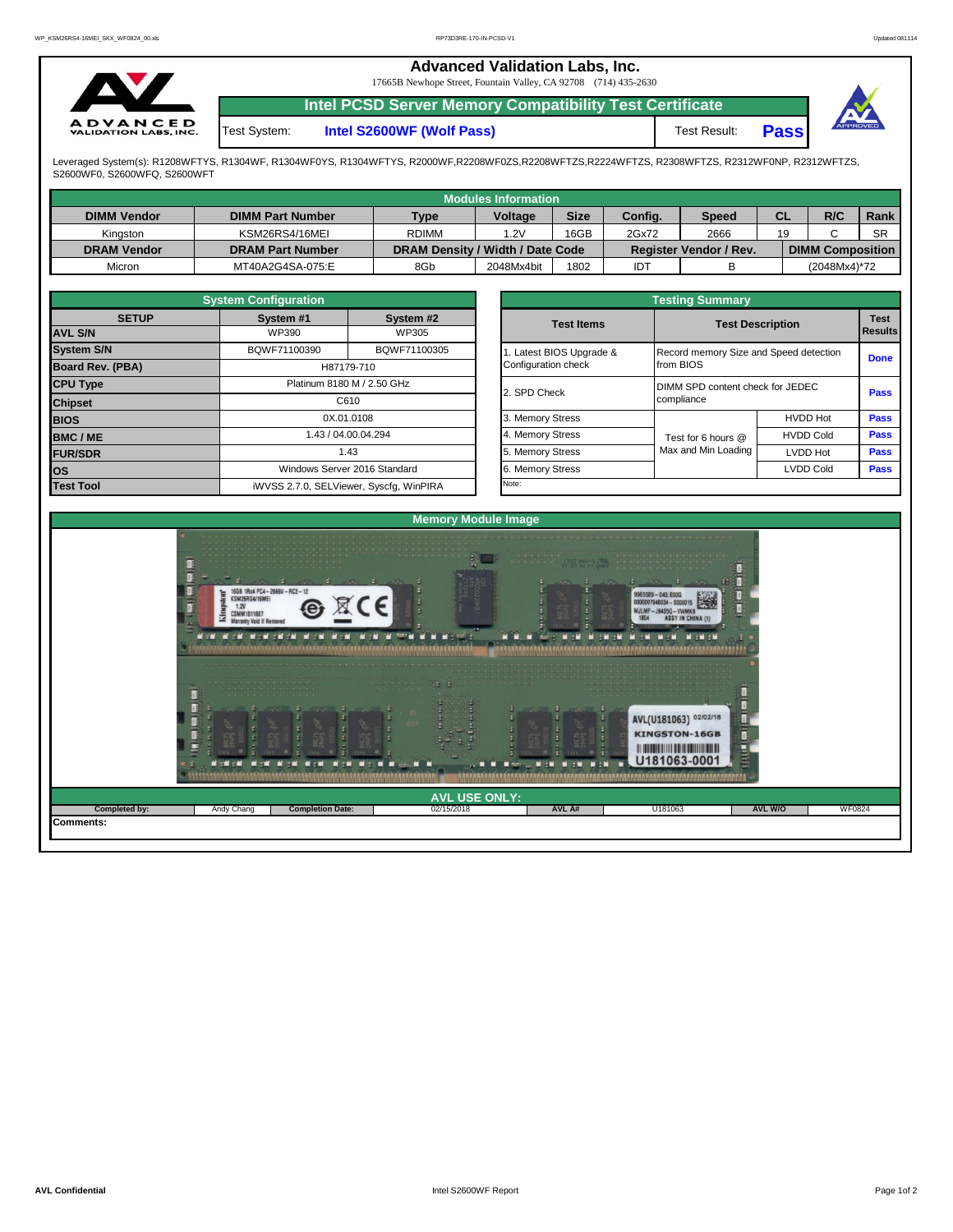|                                                 | <b>Advanced Validation Labs, Inc.</b><br>17665B Newhope Street, Fountain Valley, CA 92708 (714) 435-2630 |                                                                |                     |             |          |  |  |  |  |  |
|-------------------------------------------------|----------------------------------------------------------------------------------------------------------|----------------------------------------------------------------|---------------------|-------------|----------|--|--|--|--|--|
|                                                 |                                                                                                          | <b>Intel PCSD Server Memory Compatibility Test Certificate</b> |                     |             |          |  |  |  |  |  |
| <b>ADVANCED</b><br><b>VALIDATION LABS, INC.</b> | Test System:                                                                                             | Intel S2600WF (Wolf Pass)                                      | <b>Test Result:</b> | <b>Pass</b> | APPROVED |  |  |  |  |  |

Leveraged System(s): R1208WFTYS, R1304WF, R1304WF0YS, R1304WFTYS, R2000WF,R2208WF0ZS,R2208WFTZS,R2224WFTZS, R2308WFTZS, R2312WF0NP, R2312WFTZS,<br>S2600WF0, S2600WFQ, S2600WFT

|                    |                         |                                  | <b>Modules Information</b> |             |         |                        |           |                         |           |
|--------------------|-------------------------|----------------------------------|----------------------------|-------------|---------|------------------------|-----------|-------------------------|-----------|
| <b>DIMM Vendor</b> | <b>DIMM Part Number</b> | <b>Type</b>                      | Voltage                    | <b>Size</b> | Config. | <b>Speed</b>           | <b>CL</b> | R/C                     | Rank      |
| Kinaston           | KSM26RS4/16MEI          | <b>RDIMM</b>                     | 1.2V                       | 16GB        | 2Gx72   | 2666                   | 19        |                         | <b>SR</b> |
| <b>DRAM Vendor</b> | <b>DRAM Part Number</b> | DRAM Density / Width / Date Code |                            |             |         | Register Vendor / Rev. |           | <b>DIMM Composition</b> |           |
| Micron             | MT40A2G4SA-075:E        | 8Gb                              | 2048Mx4bit                 | 1802        | IDT     |                        |           | (2048Mx4)*72            |           |

|                   | <b>System Configuration</b>             |                              |  |                       | <b>Testing Summary</b>                 |                         |             |  |
|-------------------|-----------------------------------------|------------------------------|--|-----------------------|----------------------------------------|-------------------------|-------------|--|
| <b>SETUP</b>      | System #1                               | System #2                    |  | <b>Test Items</b>     |                                        | <b>Test Description</b> | <b>Test</b> |  |
| <b>AVL S/N</b>    | WP390                                   | WP305                        |  |                       |                                        |                         | Results     |  |
| <b>System S/N</b> | BQWF71100390                            | BQWF71100305                 |  | Latest BIOS Upgrade & | Record memory Size and Speed detection |                         | <b>Done</b> |  |
| Board Rev. (PBA)  |                                         | H87179-710                   |  | Configuration check   | from BIOS                              |                         |             |  |
| <b>CPU Type</b>   |                                         | Platinum 8180 M / 2.50 GHz   |  | 2. SPD Check          | DIMM SPD content check for JEDEC       | <b>Pass</b>             |             |  |
| <b>Chipset</b>    |                                         | C610                         |  |                       | compliance                             |                         |             |  |
| <b>BIOS</b>       |                                         | 0X.01.0108                   |  | 3. Memory Stress      |                                        | <b>HVDD Hot</b>         | <b>Pass</b> |  |
| <b>BMC/ME</b>     |                                         | 1.43 / 04.00.04.294          |  | 4. Memory Stress      | Test for 6 hours @                     | <b>HVDD Cold</b>        | <b>Pass</b> |  |
| <b>FUR/SDR</b>    |                                         | 1.43                         |  | 5. Memory Stress      | Max and Min Loading                    | <b>LVDD Hot</b>         | <b>Pass</b> |  |
| IOS.              |                                         | Windows Server 2016 Standard |  | 6. Memory Stress      |                                        | <b>LVDD Cold</b>        | <b>Pass</b> |  |
| <b>Test Tool</b>  | iWVSS 2.7.0, SELViewer, Syscfq, WinPIRA |                              |  | Note:                 |                                        |                         |             |  |

|              | <b>System Configuration</b> |                                    |                       | <b>Testing Summary</b>                 |                         |                |  |  |
|--------------|-----------------------------|------------------------------------|-----------------------|----------------------------------------|-------------------------|----------------|--|--|
| <b>SETUP</b> | System #1                   | System #2                          | <b>Test Items</b>     |                                        | <b>Test Description</b> |                |  |  |
|              | WP390                       | WP305                              |                       |                                        |                         | <b>Results</b> |  |  |
|              | BQWF71100390                | BQWF71100305                       | Latest BIOS Upgrade & | Record memory Size and Speed detection |                         |                |  |  |
| PBA)         |                             | H87179-710                         | Configuration check   | from BIOS                              |                         | <b>Done</b>    |  |  |
|              |                             | Platinum 8180 M / 2.50 GHz         |                       | DIMM SPD content check for JEDEC       |                         |                |  |  |
|              |                             | C610                               | 2. SPD Check          | compliance                             |                         | Pass           |  |  |
|              |                             | 0X.01.0108                         | 3. Memory Stress      |                                        | <b>HVDD Hot</b>         | Pass           |  |  |
|              |                             | 1.43 / 04.00.04.294                | 4. Memory Stress      | Test for 6 hours @                     | <b>HVDD Cold</b>        | Pass           |  |  |
|              |                             | 1.43                               | 5. Memory Stress      | Max and Min Loading                    | LVDD Hot                | Pass           |  |  |
|              |                             | Windows Server 2016 Standard       | 6. Memory Stress      |                                        | <b>LVDD Cold</b>        | <b>Pass</b>    |  |  |
|              |                             | iMVSS 270 SELViewer Svecta WinPIRA | Note:                 |                                        |                         |                |  |  |